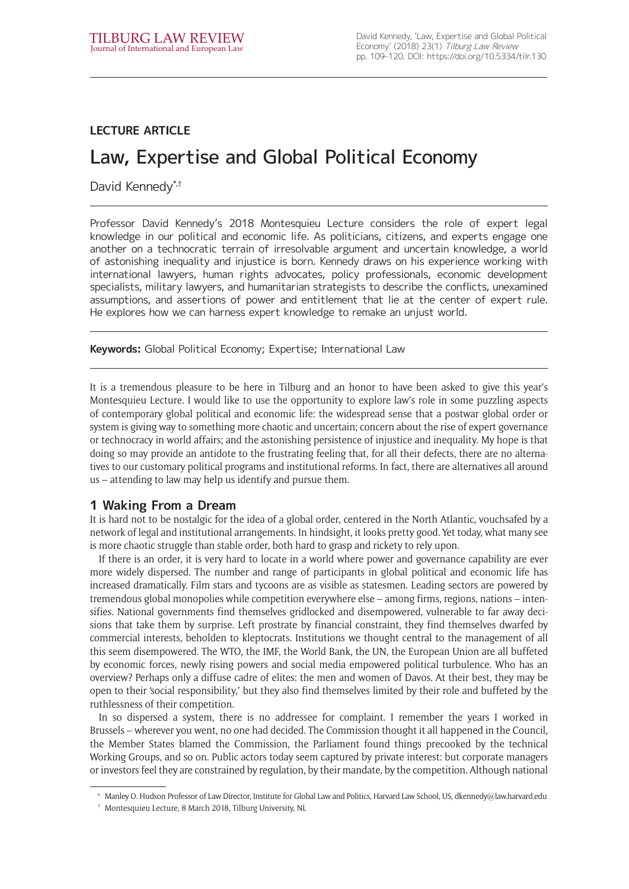# **LECTURE ARTICLE**

# Law, Expertise and Global Political Economy

David Kennedy\*,<sup>†</sup>

Professor David Kennedy's 2018 Montesquieu Lecture considers the role of expert legal knowledge in our political and economic life. As politicians, citizens, and experts engage one another on a technocratic terrain of irresolvable argument and uncertain knowledge, a world of astonishing inequality and injustice is born. Kennedy draws on his experience working with international lawyers, human rights advocates, policy professionals, economic development specialists, military lawyers, and humanitarian strategists to describe the conflicts, unexamined assumptions, and assertions of power and entitlement that lie at the center of expert rule. He explores how we can harness expert knowledge to remake an unjust world.

**Keywords:** Global Political Economy; Expertise; International Law

It is a tremendous pleasure to be here in Tilburg and an honor to have been asked to give this year's Montesquieu Lecture. I would like to use the opportunity to explore law's role in some puzzling aspects of contemporary global political and economic life: the widespread sense that a postwar global order or system is giving way to something more chaotic and uncertain; concern about the rise of expert governance or technocracy in world affairs; and the astonishing persistence of injustice and inequality. My hope is that doing so may provide an antidote to the frustrating feeling that, for all their defects, there are no alternatives to our customary political programs and institutional reforms. In fact, there are alternatives all around us – attending to law may help us identify and pursue them.

# **1 Waking From a Dream**

It is hard not to be nostalgic for the idea of a global order, centered in the North Atlantic, vouchsafed by a network of legal and institutional arrangements. In hindsight, it looks pretty good. Yet today, what many see is more chaotic struggle than stable order, both hard to grasp and rickety to rely upon.\*

If there is an order, it is very hard to locate in a world where power and governance capability are ever more widely dispersed. The number and range of participants in global political and economic life has increased dramatically. Film stars and tycoons are as visible as statesmen. Leading sectors are powered by tremendous global monopolies while competition everywhere else – among firms, regions, nations – intensifies. National governments find themselves gridlocked and disempowered, vulnerable to far away decisions that take them by surprise. Left prostrate by financial constraint, they find themselves dwarfed by commercial interests, beholden to kleptocrats. Institutions we thought central to the management of all this seem disempowered. The WTO, the IMF, the World Bank, the UN, the European Union are all buffeted by economic forces, newly rising powers and social media empowered political turbulence. Who has an overview? Perhaps only a diffuse cadre of elites: the men and women of Davos. At their best, they may be open to their 'social responsibility,' but they also find themselves limited by their role and buffeted by the ruthlessness of their competition.†

In so dispersed a system, there is no addressee for complaint. I remember the years I worked in Brussels – wherever you went, no one had decided. The Commission thought it all happened in the Council, the Member States blamed the Commission, the Parliament found things precooked by the technical Working Groups, and so on. Public actors today seem captured by private interest: but corporate managers or investors feel they are constrained by regulation, by their mandate, by the competition. Although national

<sup>\*</sup> Manley O. Hudson Professor of Law Director, Institute for Global Law and Politics, Harvard Law School, US, [dkennedy@law.harvard.edu](mailto:dkennedy@law.harvard.edu)

<sup>†</sup> Montesquieu Lecture, 8 March 2018, Tilburg University, NL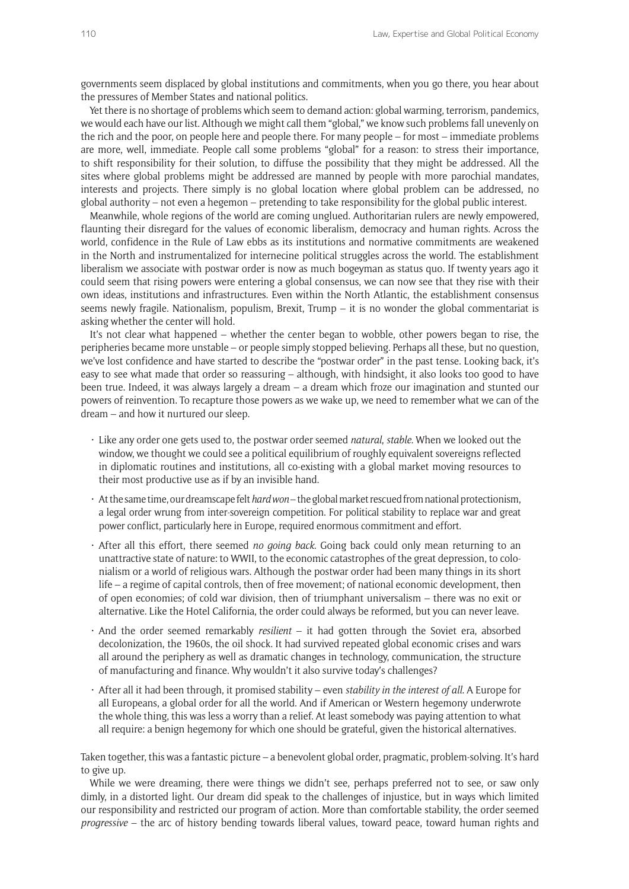governments seem displaced by global institutions and commitments, when you go there, you hear about the pressures of Member States and national politics.

Yet there is no shortage of problems which seem to demand action: global warming, terrorism, pandemics, we would each have our list. Although we might call them "global," we know such problems fall unevenly on the rich and the poor, on people here and people there. For many people – for most – immediate problems are more, well, immediate. People call some problems "global" for a reason: to stress their importance, to shift responsibility for their solution, to diffuse the possibility that they might be addressed. All the sites where global problems might be addressed are manned by people with more parochial mandates, interests and projects. There simply is no global location where global problem can be addressed, no global authority – not even a hegemon – pretending to take responsibility for the global public interest.

Meanwhile, whole regions of the world are coming unglued. Authoritarian rulers are newly empowered, flaunting their disregard for the values of economic liberalism, democracy and human rights. Across the world, confidence in the Rule of Law ebbs as its institutions and normative commitments are weakened in the North and instrumentalized for internecine political struggles across the world. The establishment liberalism we associate with postwar order is now as much bogeyman as status quo. If twenty years ago it could seem that rising powers were entering a global consensus, we can now see that they rise with their own ideas, institutions and infrastructures. Even within the North Atlantic, the establishment consensus seems newly fragile. Nationalism, populism, Brexit, Trump – it is no wonder the global commentariat is asking whether the center will hold.

It's not clear what happened – whether the center began to wobble, other powers began to rise, the peripheries became more unstable – or people simply stopped believing. Perhaps all these, but no question, we've lost confidence and have started to describe the "postwar order" in the past tense. Looking back, it's easy to see what made that order so reassuring – although, with hindsight, it also looks too good to have been true. Indeed, it was always largely a dream – a dream which froze our imagination and stunted our powers of reinvention. To recapture those powers as we wake up, we need to remember what we can of the dream – and how it nurtured our sleep.

- • Like any order one gets used to, the postwar order seemed *natural*, *stable*. When we looked out the window, we thought we could see a political equilibrium of roughly equivalent sovereigns reflected in diplomatic routines and institutions, all co-existing with a global market moving resources to their most productive use as if by an invisible hand.
- • At the same time, our dreamscape felt *hard won* the global market rescued from national protectionism, a legal order wrung from inter-sovereign competition. For political stability to replace war and great power conflict, particularly here in Europe, required enormous commitment and effort.
- • After all this effort, there seemed *no going back*. Going back could only mean returning to an unattractive state of nature: to WWII, to the economic catastrophes of the great depression, to colonialism or a world of religious wars. Although the postwar order had been many things in its short life – a regime of capital controls, then of free movement; of national economic development, then of open economies; of cold war division, then of triumphant universalism – there was no exit or alternative. Like the Hotel California, the order could always be reformed, but you can never leave.
- • And the order seemed remarkably *resilient* it had gotten through the Soviet era, absorbed decolonization, the 1960s, the oil shock. It had survived repeated global economic crises and wars all around the periphery as well as dramatic changes in technology, communication, the structure of manufacturing and finance. Why wouldn't it also survive today's challenges?
- • After all it had been through, it promised stability even *stability in the interest of all*. A Europe for all Europeans, a global order for all the world. And if American or Western hegemony underwrote the whole thing, this was less a worry than a relief. At least somebody was paying attention to what all require: a benign hegemony for which one should be grateful, given the historical alternatives.

Taken together, this was a fantastic picture – a benevolent global order, pragmatic, problem-solving. It's hard to give up.

While we were dreaming, there were things we didn't see, perhaps preferred not to see, or saw only dimly, in a distorted light. Our dream did speak to the challenges of injustice, but in ways which limited our responsibility and restricted our program of action. More than comfortable stability, the order seemed *progressive* – the arc of history bending towards liberal values, toward peace, toward human rights and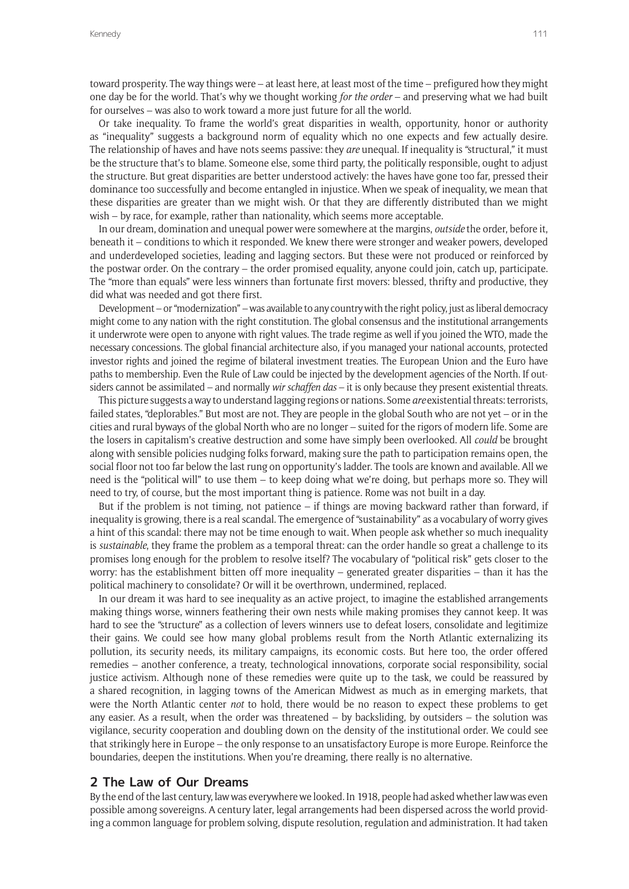toward prosperity. The way things were – at least here, at least most of the time – prefigured how they might one day be for the world. That's why we thought working *for the order* – and preserving what we had built for ourselves – was also to work toward a more just future for all the world.

Or take inequality. To frame the world's great disparities in wealth, opportunity, honor or authority as "inequality" suggests a background norm of equality which no one expects and few actually desire. The relationship of haves and have nots seems passive: they *are* unequal. If inequality is "structural," it must be the structure that's to blame. Someone else, some third party, the politically responsible, ought to adjust the structure. But great disparities are better understood actively: the haves have gone too far, pressed their dominance too successfully and become entangled in injustice. When we speak of inequality, we mean that these disparities are greater than we might wish. Or that they are differently distributed than we might wish – by race, for example, rather than nationality, which seems more acceptable.

In our dream, domination and unequal power were somewhere at the margins, *outside* the order, before it, beneath it – conditions to which it responded. We knew there were stronger and weaker powers, developed and underdeveloped societies, leading and lagging sectors. But these were not produced or reinforced by the postwar order. On the contrary – the order promised equality, anyone could join, catch up, participate. The "more than equals" were less winners than fortunate first movers: blessed, thrifty and productive, they did what was needed and got there first.

Development – or "modernization" – was available to any country with the right policy, just as liberal democracy might come to any nation with the right constitution. The global consensus and the institutional arrangements it underwrote were open to anyone with right values. The trade regime as well if you joined the WTO, made the necessary concessions. The global financial architecture also, if you managed your national accounts, protected investor rights and joined the regime of bilateral investment treaties. The European Union and the Euro have paths to membership. Even the Rule of Law could be injected by the development agencies of the North. If outsiders cannot be assimilated – and normally *wir schaffen das* – it is only because they present existential threats.

This picture suggests a way to understand lagging regions or nations. Some *are* existential threats: terrorists, failed states, "deplorables." But most are not. They are people in the global South who are not yet – or in the cities and rural byways of the global North who are no longer – suited for the rigors of modern life. Some are the losers in capitalism's creative destruction and some have simply been overlooked. All *could* be brought along with sensible policies nudging folks forward, making sure the path to participation remains open, the social floor not too far below the last rung on opportunity's ladder. The tools are known and available. All we need is the "political will" to use them – to keep doing what we're doing, but perhaps more so. They will need to try, of course, but the most important thing is patience. Rome was not built in a day.

But if the problem is not timing, not patience – if things are moving backward rather than forward, if inequality is growing, there is a real scandal. The emergence of "sustainability" as a vocabulary of worry gives a hint of this scandal: there may not be time enough to wait. When people ask whether so much inequality is *sustainable*, they frame the problem as a temporal threat: can the order handle so great a challenge to its promises long enough for the problem to resolve itself? The vocabulary of "political risk" gets closer to the worry: has the establishment bitten off more inequality – generated greater disparities – than it has the political machinery to consolidate? Or will it be overthrown, undermined, replaced.

In our dream it was hard to see inequality as an active project, to imagine the established arrangements making things worse, winners feathering their own nests while making promises they cannot keep. It was hard to see the "structure" as a collection of levers winners use to defeat losers, consolidate and legitimize their gains. We could see how many global problems result from the North Atlantic externalizing its pollution, its security needs, its military campaigns, its economic costs. But here too, the order offered remedies – another conference, a treaty, technological innovations, corporate social responsibility, social justice activism. Although none of these remedies were quite up to the task, we could be reassured by a shared recognition, in lagging towns of the American Midwest as much as in emerging markets, that were the North Atlantic center *not* to hold, there would be no reason to expect these problems to get any easier. As a result, when the order was threatened  $-$  by backsliding, by outsiders  $-$  the solution was vigilance, security cooperation and doubling down on the density of the institutional order. We could see that strikingly here in Europe – the only response to an unsatisfactory Europe is more Europe. Reinforce the boundaries, deepen the institutions. When you're dreaming, there really is no alternative.

### **2 The Law of Our Dreams**

By the end of the last century, law was everywhere we looked. In 1918, people had asked whether law was even possible among sovereigns. A century later, legal arrangements had been dispersed across the world providing a common language for problem solving, dispute resolution, regulation and administration. It had taken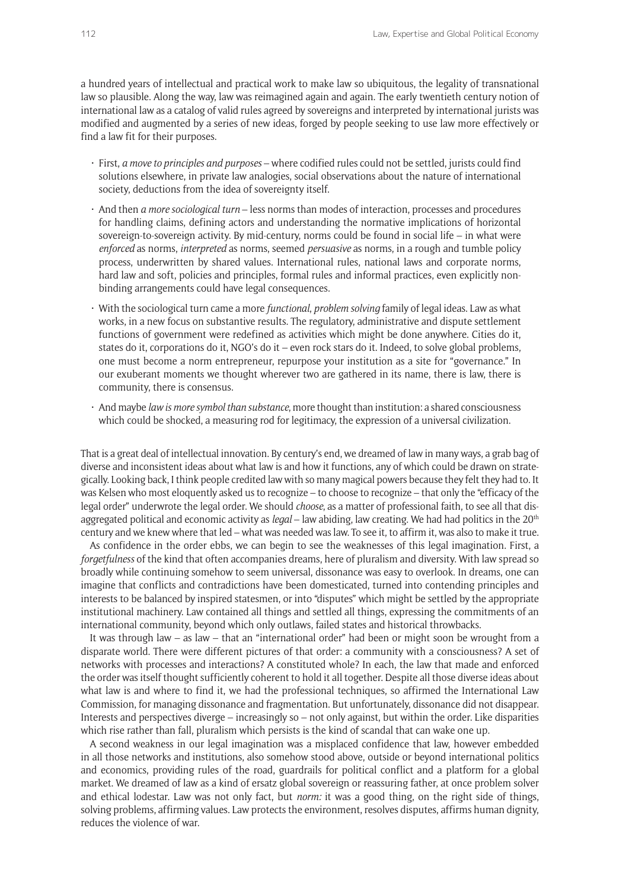a hundred years of intellectual and practical work to make law so ubiquitous, the legality of transnational law so plausible. Along the way, law was reimagined again and again. The early twentieth century notion of international law as a catalog of valid rules agreed by sovereigns and interpreted by international jurists was modified and augmented by a series of new ideas, forged by people seeking to use law more effectively or find a law fit for their purposes.

- • First, *a move to principles and purposes* where codified rules could not be settled, jurists could find solutions elsewhere, in private law analogies, social observations about the nature of international society, deductions from the idea of sovereignty itself.
- • And then *a more sociological turn* less norms than modes of interaction, processes and procedures for handling claims, defining actors and understanding the normative implications of horizontal sovereign-to-sovereign activity. By mid-century, norms could be found in social life – in what were *enforced* as norms, *interpreted* as norms, seemed *persuasive* as norms, in a rough and tumble policy process, underwritten by shared values. International rules, national laws and corporate norms, hard law and soft, policies and principles, formal rules and informal practices, even explicitly nonbinding arrangements could have legal consequences.
- • With the sociological turn came a more *functional*, *problem solving* family of legal ideas. Law as what works, in a new focus on substantive results. The regulatory, administrative and dispute settlement functions of government were redefined as activities which might be done anywhere. Cities do it, states do it, corporations do it, NGO's do it – even rock stars do it. Indeed, to solve global problems, one must become a norm entrepreneur, repurpose your institution as a site for "governance." In our exuberant moments we thought wherever two are gathered in its name, there is law, there is community, there is consensus.
- • And maybe *law is more symbol than substance*, more thought than institution: a shared consciousness which could be shocked, a measuring rod for legitimacy, the expression of a universal civilization.

That is a great deal of intellectual innovation. By century's end, we dreamed of law in many ways, a grab bag of diverse and inconsistent ideas about what law is and how it functions, any of which could be drawn on strategically. Looking back, I think people credited law with so many magical powers because they felt they had to. It was Kelsen who most eloquently asked us to recognize – to choose to recognize – that only the "efficacy of the legal order" underwrote the legal order. We should *choose*, as a matter of professional faith, to see all that disaggregated political and economic activity as *legal* – law abiding, law creating. We had had politics in the 20th century and we knew where that led – what was needed was law. To see it, to affirm it, was also to make it true.

As confidence in the order ebbs, we can begin to see the weaknesses of this legal imagination. First, a *forgetfulness* of the kind that often accompanies dreams, here of pluralism and diversity. With law spread so broadly while continuing somehow to seem universal, dissonance was easy to overlook. In dreams, one can imagine that conflicts and contradictions have been domesticated, turned into contending principles and interests to be balanced by inspired statesmen, or into "disputes" which might be settled by the appropriate institutional machinery. Law contained all things and settled all things, expressing the commitments of an international community, beyond which only outlaws, failed states and historical throwbacks.

It was through law – as law – that an "international order" had been or might soon be wrought from a disparate world. There were different pictures of that order: a community with a consciousness? A set of networks with processes and interactions? A constituted whole? In each, the law that made and enforced the order was itself thought sufficiently coherent to hold it all together. Despite all those diverse ideas about what law is and where to find it, we had the professional techniques, so affirmed the International Law Commission, for managing dissonance and fragmentation. But unfortunately, dissonance did not disappear. Interests and perspectives diverge – increasingly so – not only against, but within the order. Like disparities which rise rather than fall, pluralism which persists is the kind of scandal that can wake one up.

A second weakness in our legal imagination was a misplaced confidence that law, however embedded in all those networks and institutions, also somehow stood above, outside or beyond international politics and economics, providing rules of the road, guardrails for political conflict and a platform for a global market. We dreamed of law as a kind of ersatz global sovereign or reassuring father, at once problem solver and ethical lodestar. Law was not only fact, but *norm:* it was a good thing, on the right side of things, solving problems, affirming values. Law protects the environment, resolves disputes, affirms human dignity, reduces the violence of war.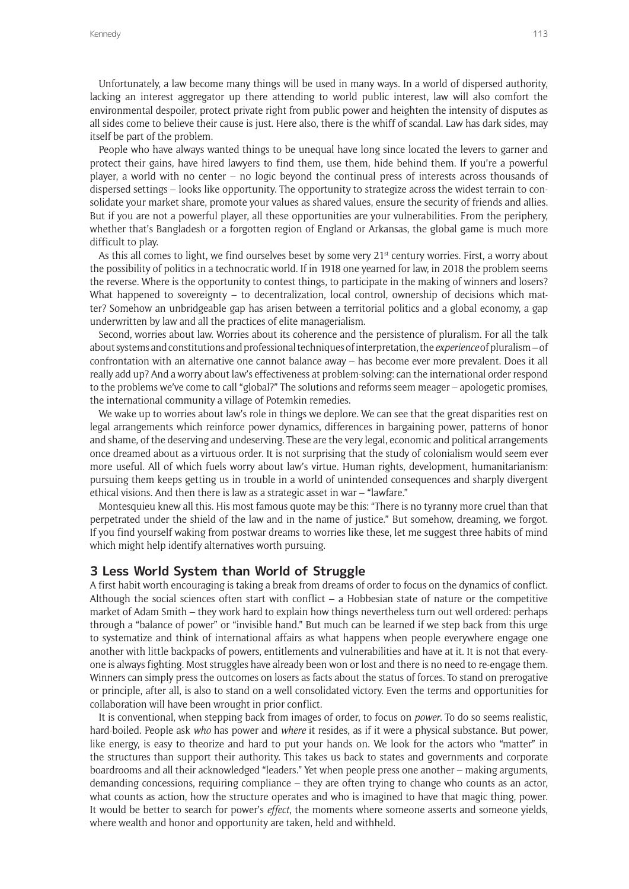Unfortunately, a law become many things will be used in many ways. In a world of dispersed authority, lacking an interest aggregator up there attending to world public interest, law will also comfort the environmental despoiler, protect private right from public power and heighten the intensity of disputes as all sides come to believe their cause is just. Here also, there is the whiff of scandal. Law has dark sides, may itself be part of the problem.

People who have always wanted things to be unequal have long since located the levers to garner and protect their gains, have hired lawyers to find them, use them, hide behind them. If you're a powerful player, a world with no center – no logic beyond the continual press of interests across thousands of dispersed settings – looks like opportunity. The opportunity to strategize across the widest terrain to consolidate your market share, promote your values as shared values, ensure the security of friends and allies. But if you are not a powerful player, all these opportunities are your vulnerabilities. From the periphery, whether that's Bangladesh or a forgotten region of England or Arkansas, the global game is much more difficult to play.

As this all comes to light, we find ourselves beset by some very  $21<sup>st</sup>$  century worries. First, a worry about the possibility of politics in a technocratic world. If in 1918 one yearned for law, in 2018 the problem seems the reverse. Where is the opportunity to contest things, to participate in the making of winners and losers? What happened to sovereignty – to decentralization, local control, ownership of decisions which matter? Somehow an unbridgeable gap has arisen between a territorial politics and a global economy, a gap underwritten by law and all the practices of elite managerialism.

Second, worries about law. Worries about its coherence and the persistence of pluralism. For all the talk about systems and constitutions and professional techniques of interpretation, the *experience* of pluralism – of confrontation with an alternative one cannot balance away – has become ever more prevalent. Does it all really add up? And a worry about law's effectiveness at problem-solving: can the international order respond to the problems we've come to call "global?" The solutions and reforms seem meager – apologetic promises, the international community a village of Potemkin remedies.

We wake up to worries about law's role in things we deplore. We can see that the great disparities rest on legal arrangements which reinforce power dynamics, differences in bargaining power, patterns of honor and shame, of the deserving and undeserving. These are the very legal, economic and political arrangements once dreamed about as a virtuous order. It is not surprising that the study of colonialism would seem ever more useful. All of which fuels worry about law's virtue. Human rights, development, humanitarianism: pursuing them keeps getting us in trouble in a world of unintended consequences and sharply divergent ethical visions. And then there is law as a strategic asset in war – "lawfare."

Montesquieu knew all this. His most famous quote may be this: "There is no tyranny more cruel than that perpetrated under the shield of the law and in the name of justice." But somehow, dreaming, we forgot. If you find yourself waking from postwar dreams to worries like these, let me suggest three habits of mind which might help identify alternatives worth pursuing.

#### **3 Less World System than World of Struggle**

A first habit worth encouraging is taking a break from dreams of order to focus on the dynamics of conflict. Although the social sciences often start with conflict  $-$  a Hobbesian state of nature or the competitive market of Adam Smith – they work hard to explain how things nevertheless turn out well ordered: perhaps through a "balance of power" or "invisible hand." But much can be learned if we step back from this urge to systematize and think of international affairs as what happens when people everywhere engage one another with little backpacks of powers, entitlements and vulnerabilities and have at it. It is not that everyone is always fighting. Most struggles have already been won or lost and there is no need to re-engage them. Winners can simply press the outcomes on losers as facts about the status of forces. To stand on prerogative or principle, after all, is also to stand on a well consolidated victory. Even the terms and opportunities for collaboration will have been wrought in prior conflict.

It is conventional, when stepping back from images of order, to focus on *power*. To do so seems realistic, hard-boiled. People ask *who* has power and *where* it resides, as if it were a physical substance. But power, like energy, is easy to theorize and hard to put your hands on. We look for the actors who "matter" in the structures than support their authority. This takes us back to states and governments and corporate boardrooms and all their acknowledged "leaders." Yet when people press one another – making arguments, demanding concessions, requiring compliance – they are often trying to change who counts as an actor, what counts as action, how the structure operates and who is imagined to have that magic thing, power. It would be better to search for power's *effect*, the moments where someone asserts and someone yields, where wealth and honor and opportunity are taken, held and withheld.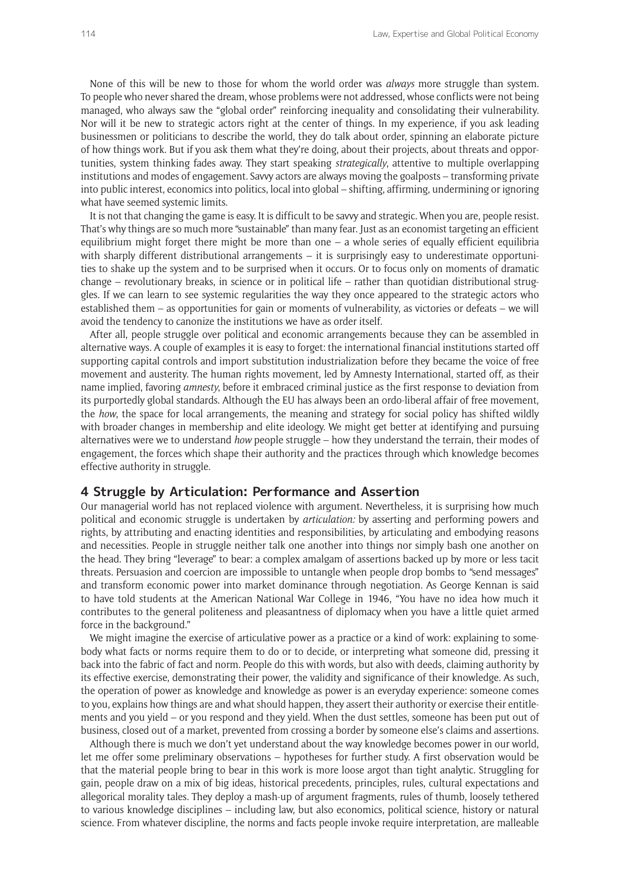None of this will be new to those for whom the world order was *always* more struggle than system. To people who never shared the dream, whose problems were not addressed, whose conflicts were not being managed, who always saw the "global order" reinforcing inequality and consolidating their vulnerability. Nor will it be new to strategic actors right at the center of things. In my experience, if you ask leading businessmen or politicians to describe the world, they do talk about order, spinning an elaborate picture of how things work. But if you ask them what they're doing, about their projects, about threats and opportunities, system thinking fades away. They start speaking *strategically*, attentive to multiple overlapping institutions and modes of engagement. Savvy actors are always moving the goalposts – transforming private into public interest, economics into politics, local into global – shifting, affirming, undermining or ignoring what have seemed systemic limits.

It is not that changing the game is easy. It is difficult to be savvy and strategic. When you are, people resist. That's why things are so much more "sustainable" than many fear. Just as an economist targeting an efficient equilibrium might forget there might be more than one – a whole series of equally efficient equilibria with sharply different distributional arrangements - it is surprisingly easy to underestimate opportunities to shake up the system and to be surprised when it occurs. Or to focus only on moments of dramatic change – revolutionary breaks, in science or in political life – rather than quotidian distributional struggles. If we can learn to see systemic regularities the way they once appeared to the strategic actors who established them – as opportunities for gain or moments of vulnerability, as victories or defeats – we will avoid the tendency to canonize the institutions we have as order itself.

After all, people struggle over political and economic arrangements because they can be assembled in alternative ways. A couple of examples it is easy to forget: the international financial institutions started off supporting capital controls and import substitution industrialization before they became the voice of free movement and austerity. The human rights movement, led by Amnesty International, started off, as their name implied, favoring *amnesty*, before it embraced criminal justice as the first response to deviation from its purportedly global standards. Although the EU has always been an ordo-liberal affair of free movement, the *how*, the space for local arrangements, the meaning and strategy for social policy has shifted wildly with broader changes in membership and elite ideology. We might get better at identifying and pursuing alternatives were we to understand *how* people struggle – how they understand the terrain, their modes of engagement, the forces which shape their authority and the practices through which knowledge becomes effective authority in struggle.

#### **4 Struggle by Articulation: Performance and Assertion**

Our managerial world has not replaced violence with argument. Nevertheless, it is surprising how much political and economic struggle is undertaken by *articulation:* by asserting and performing powers and rights, by attributing and enacting identities and responsibilities, by articulating and embodying reasons and necessities. People in struggle neither talk one another into things nor simply bash one another on the head. They bring "leverage" to bear: a complex amalgam of assertions backed up by more or less tacit threats. Persuasion and coercion are impossible to untangle when people drop bombs to "send messages" and transform economic power into market dominance through negotiation. As George Kennan is said to have told students at the American National War College in 1946, "You have no idea how much it contributes to the general politeness and pleasantness of diplomacy when you have a little quiet armed force in the background."

We might imagine the exercise of articulative power as a practice or a kind of work: explaining to somebody what facts or norms require them to do or to decide, or interpreting what someone did, pressing it back into the fabric of fact and norm. People do this with words, but also with deeds, claiming authority by its effective exercise, demonstrating their power, the validity and significance of their knowledge. As such, the operation of power as knowledge and knowledge as power is an everyday experience: someone comes to you, explains how things are and what should happen, they assert their authority or exercise their entitlements and you yield – or you respond and they yield. When the dust settles, someone has been put out of business, closed out of a market, prevented from crossing a border by someone else's claims and assertions.

Although there is much we don't yet understand about the way knowledge becomes power in our world, let me offer some preliminary observations – hypotheses for further study. A first observation would be that the material people bring to bear in this work is more loose argot than tight analytic. Struggling for gain, people draw on a mix of big ideas, historical precedents, principles, rules, cultural expectations and allegorical morality tales. They deploy a mash-up of argument fragments, rules of thumb, loosely tethered to various knowledge disciplines – including law, but also economics, political science, history or natural science. From whatever discipline, the norms and facts people invoke require interpretation, are malleable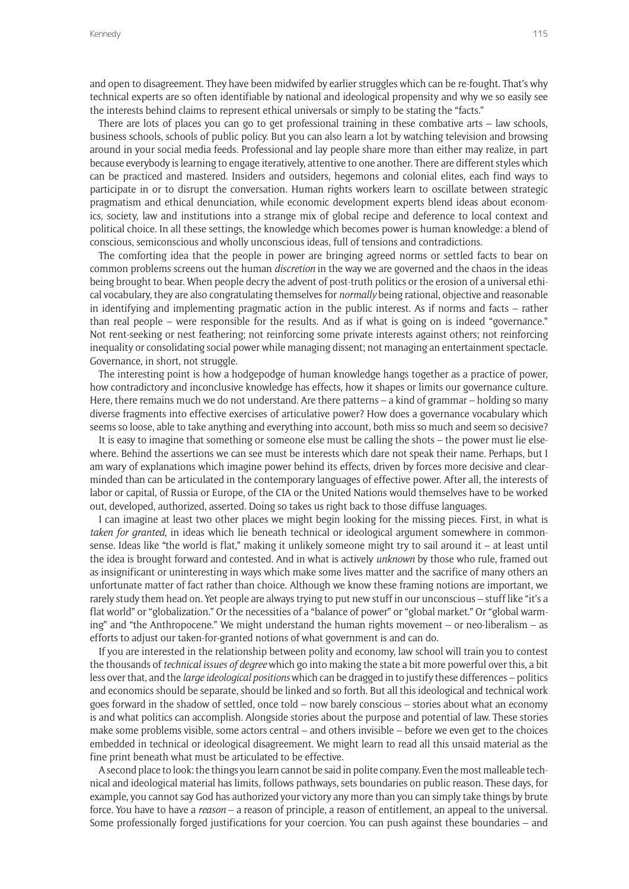and open to disagreement. They have been midwifed by earlier struggles which can be re-fought. That's why technical experts are so often identifiable by national and ideological propensity and why we so easily see the interests behind claims to represent ethical universals or simply to be stating the "facts."

There are lots of places you can go to get professional training in these combative arts – law schools, business schools, schools of public policy. But you can also learn a lot by watching television and browsing around in your social media feeds. Professional and lay people share more than either may realize, in part because everybody is learning to engage iteratively, attentive to one another. There are different styles which can be practiced and mastered. Insiders and outsiders, hegemons and colonial elites, each find ways to participate in or to disrupt the conversation. Human rights workers learn to oscillate between strategic pragmatism and ethical denunciation, while economic development experts blend ideas about economics, society, law and institutions into a strange mix of global recipe and deference to local context and political choice. In all these settings, the knowledge which becomes power is human knowledge: a blend of conscious, semiconscious and wholly unconscious ideas, full of tensions and contradictions.

The comforting idea that the people in power are bringing agreed norms or settled facts to bear on common problems screens out the human *discretion* in the way we are governed and the chaos in the ideas being brought to bear. When people decry the advent of post-truth politics or the erosion of a universal ethical vocabulary, they are also congratulating themselves for *normally* being rational, objective and reasonable in identifying and implementing pragmatic action in the public interest. As if norms and facts – rather than real people – were responsible for the results. And as if what is going on is indeed "governance." Not rent-seeking or nest feathering; not reinforcing some private interests against others; not reinforcing inequality or consolidating social power while managing dissent; not managing an entertainment spectacle. Governance, in short, not struggle.

The interesting point is how a hodgepodge of human knowledge hangs together as a practice of power, how contradictory and inconclusive knowledge has effects, how it shapes or limits our governance culture. Here, there remains much we do not understand. Are there patterns – a kind of grammar – holding so many diverse fragments into effective exercises of articulative power? How does a governance vocabulary which seems so loose, able to take anything and everything into account, both miss so much and seem so decisive?

It is easy to imagine that something or someone else must be calling the shots – the power must lie elsewhere. Behind the assertions we can see must be interests which dare not speak their name. Perhaps, but I am wary of explanations which imagine power behind its effects, driven by forces more decisive and clearminded than can be articulated in the contemporary languages of effective power. After all, the interests of labor or capital, of Russia or Europe, of the CIA or the United Nations would themselves have to be worked out, developed, authorized, asserted. Doing so takes us right back to those diffuse languages.

I can imagine at least two other places we might begin looking for the missing pieces. First, in what is *taken for granted*, in ideas which lie beneath technical or ideological argument somewhere in commonsense. Ideas like "the world is flat," making it unlikely someone might try to sail around it – at least until the idea is brought forward and contested. And in what is actively *unknown* by those who rule, framed out as insignificant or uninteresting in ways which make some lives matter and the sacrifice of many others an unfortunate matter of fact rather than choice. Although we know these framing notions are important, we rarely study them head on. Yet people are always trying to put new stuff in our unconscious – stuff like "it's a flat world" or "globalization." Or the necessities of a "balance of power" or "global market." Or "global warming" and "the Anthropocene." We might understand the human rights movement – or neo-liberalism – as efforts to adjust our taken-for-granted notions of what government is and can do.

If you are interested in the relationship between polity and economy, law school will train you to contest the thousands of *technical issues of degree* which go into making the state a bit more powerful over this, a bit less over that, and the *large ideological positions* which can be dragged in to justify these differences – politics and economics should be separate, should be linked and so forth. But all this ideological and technical work goes forward in the shadow of settled, once told – now barely conscious – stories about what an economy is and what politics can accomplish. Alongside stories about the purpose and potential of law. These stories make some problems visible, some actors central – and others invisible – before we even get to the choices embedded in technical or ideological disagreement. We might learn to read all this unsaid material as the fine print beneath what must be articulated to be effective.

A second place to look: the things you learn cannot be said in polite company. Even the most malleable technical and ideological material has limits, follows pathways, sets boundaries on public reason. These days, for example, you cannot say God has authorized your victory any more than you can simply take things by brute force. You have to have a *reason* – a reason of principle, a reason of entitlement, an appeal to the universal. Some professionally forged justifications for your coercion. You can push against these boundaries – and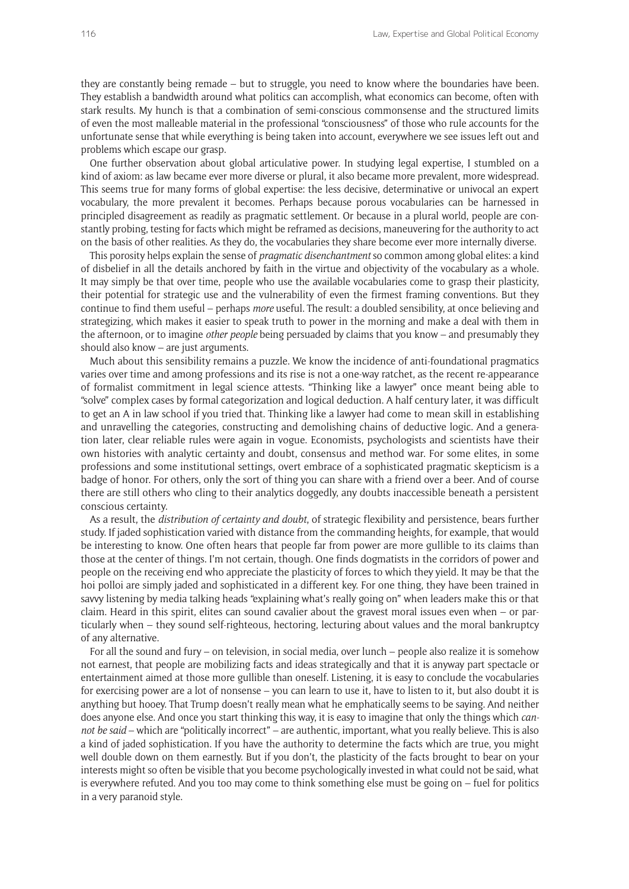they are constantly being remade – but to struggle, you need to know where the boundaries have been. They establish a bandwidth around what politics can accomplish, what economics can become, often with stark results. My hunch is that a combination of semi-conscious commonsense and the structured limits of even the most malleable material in the professional "consciousness" of those who rule accounts for the unfortunate sense that while everything is being taken into account, everywhere we see issues left out and problems which escape our grasp.

One further observation about global articulative power. In studying legal expertise, I stumbled on a kind of axiom: as law became ever more diverse or plural, it also became more prevalent, more widespread. This seems true for many forms of global expertise: the less decisive, determinative or univocal an expert vocabulary, the more prevalent it becomes. Perhaps because porous vocabularies can be harnessed in principled disagreement as readily as pragmatic settlement. Or because in a plural world, people are constantly probing, testing for facts which might be reframed as decisions, maneuvering for the authority to act on the basis of other realities. As they do, the vocabularies they share become ever more internally diverse.

This porosity helps explain the sense of *pragmatic disenchantment* so common among global elites: a kind of disbelief in all the details anchored by faith in the virtue and objectivity of the vocabulary as a whole. It may simply be that over time, people who use the available vocabularies come to grasp their plasticity, their potential for strategic use and the vulnerability of even the firmest framing conventions. But they continue to find them useful – perhaps *more* useful. The result: a doubled sensibility, at once believing and strategizing, which makes it easier to speak truth to power in the morning and make a deal with them in the afternoon, or to imagine *other people* being persuaded by claims that you know – and presumably they should also know – are just arguments.

Much about this sensibility remains a puzzle. We know the incidence of anti-foundational pragmatics varies over time and among professions and its rise is not a one-way ratchet, as the recent re-appearance of formalist commitment in legal science attests. "Thinking like a lawyer" once meant being able to "solve" complex cases by formal categorization and logical deduction. A half century later, it was difficult to get an A in law school if you tried that. Thinking like a lawyer had come to mean skill in establishing and unravelling the categories, constructing and demolishing chains of deductive logic. And a generation later, clear reliable rules were again in vogue. Economists, psychologists and scientists have their own histories with analytic certainty and doubt, consensus and method war. For some elites, in some professions and some institutional settings, overt embrace of a sophisticated pragmatic skepticism is a badge of honor. For others, only the sort of thing you can share with a friend over a beer. And of course there are still others who cling to their analytics doggedly, any doubts inaccessible beneath a persistent conscious certainty.

As a result, the *distribution of certainty and doubt*, of strategic flexibility and persistence, bears further study. If jaded sophistication varied with distance from the commanding heights, for example, that would be interesting to know. One often hears that people far from power are more gullible to its claims than those at the center of things. I'm not certain, though. One finds dogmatists in the corridors of power and people on the receiving end who appreciate the plasticity of forces to which they yield. It may be that the hoi polloi are simply jaded and sophisticated in a different key. For one thing, they have been trained in savvy listening by media talking heads "explaining what's really going on" when leaders make this or that claim. Heard in this spirit, elites can sound cavalier about the gravest moral issues even when – or particularly when – they sound self-righteous, hectoring, lecturing about values and the moral bankruptcy of any alternative.

For all the sound and fury – on television, in social media, over lunch – people also realize it is somehow not earnest, that people are mobilizing facts and ideas strategically and that it is anyway part spectacle or entertainment aimed at those more gullible than oneself. Listening, it is easy to conclude the vocabularies for exercising power are a lot of nonsense – you can learn to use it, have to listen to it, but also doubt it is anything but hooey. That Trump doesn't really mean what he emphatically seems to be saying. And neither does anyone else. And once you start thinking this way, it is easy to imagine that only the things which *cannot be said* – which are "politically incorrect" – are authentic, important, what you really believe. This is also a kind of jaded sophistication. If you have the authority to determine the facts which are true, you might well double down on them earnestly. But if you don't, the plasticity of the facts brought to bear on your interests might so often be visible that you become psychologically invested in what could not be said, what is everywhere refuted. And you too may come to think something else must be going on – fuel for politics in a very paranoid style.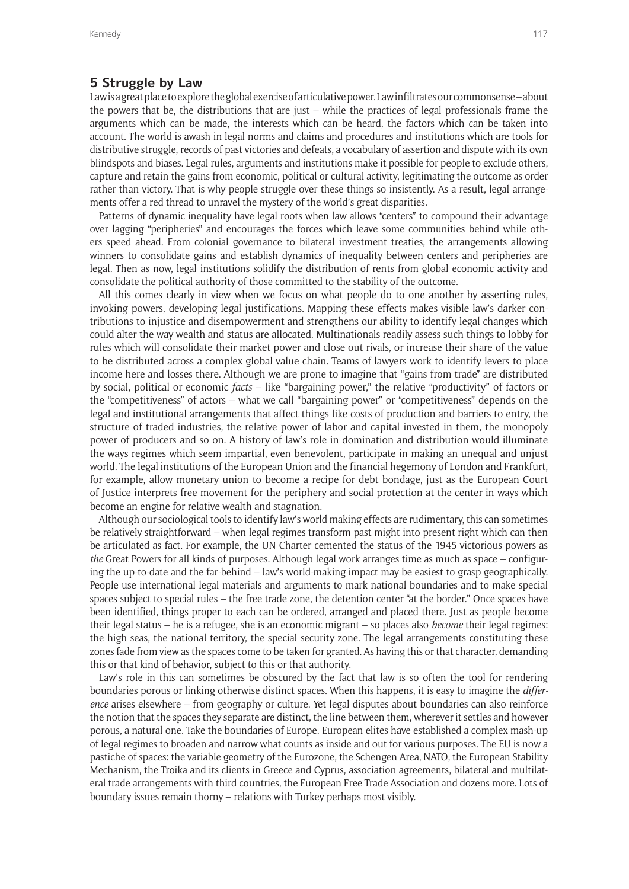# **5 Struggle by Law**

Law is a great place to explore the global exercise of articulative power. Law infiltrates our commonsense – about the powers that be, the distributions that are just – while the practices of legal professionals frame the arguments which can be made, the interests which can be heard, the factors which can be taken into account. The world is awash in legal norms and claims and procedures and institutions which are tools for distributive struggle, records of past victories and defeats, a vocabulary of assertion and dispute with its own blindspots and biases. Legal rules, arguments and institutions make it possible for people to exclude others, capture and retain the gains from economic, political or cultural activity, legitimating the outcome as order rather than victory. That is why people struggle over these things so insistently. As a result, legal arrangements offer a red thread to unravel the mystery of the world's great disparities.

Patterns of dynamic inequality have legal roots when law allows "centers" to compound their advantage over lagging "peripheries" and encourages the forces which leave some communities behind while others speed ahead. From colonial governance to bilateral investment treaties, the arrangements allowing winners to consolidate gains and establish dynamics of inequality between centers and peripheries are legal. Then as now, legal institutions solidify the distribution of rents from global economic activity and consolidate the political authority of those committed to the stability of the outcome.

All this comes clearly in view when we focus on what people do to one another by asserting rules, invoking powers, developing legal justifications. Mapping these effects makes visible law's darker contributions to injustice and disempowerment and strengthens our ability to identify legal changes which could alter the way wealth and status are allocated. Multinationals readily assess such things to lobby for rules which will consolidate their market power and close out rivals, or increase their share of the value to be distributed across a complex global value chain. Teams of lawyers work to identify levers to place income here and losses there. Although we are prone to imagine that "gains from trade" are distributed by social, political or economic *facts* – like "bargaining power," the relative "productivity" of factors or the "competitiveness" of actors – what we call "bargaining power" or "competitiveness" depends on the legal and institutional arrangements that affect things like costs of production and barriers to entry, the structure of traded industries, the relative power of labor and capital invested in them, the monopoly power of producers and so on. A history of law's role in domination and distribution would illuminate the ways regimes which seem impartial, even benevolent, participate in making an unequal and unjust world. The legal institutions of the European Union and the financial hegemony of London and Frankfurt, for example, allow monetary union to become a recipe for debt bondage, just as the European Court of Justice interprets free movement for the periphery and social protection at the center in ways which become an engine for relative wealth and stagnation.

Although our sociological tools to identify law's world making effects are rudimentary, this can sometimes be relatively straightforward – when legal regimes transform past might into present right which can then be articulated as fact. For example, the UN Charter cemented the status of the 1945 victorious powers as *the* Great Powers for all kinds of purposes. Although legal work arranges time as much as space – configuring the up-to-date and the far-behind – law's world-making impact may be easiest to grasp geographically. People use international legal materials and arguments to mark national boundaries and to make special spaces subject to special rules – the free trade zone, the detention center "at the border." Once spaces have been identified, things proper to each can be ordered, arranged and placed there. Just as people become their legal status – he is a refugee, she is an economic migrant – so places also *become* their legal regimes: the high seas, the national territory, the special security zone. The legal arrangements constituting these zones fade from view as the spaces come to be taken for granted. As having this or that character, demanding this or that kind of behavior, subject to this or that authority.

Law's role in this can sometimes be obscured by the fact that law is so often the tool for rendering boundaries porous or linking otherwise distinct spaces. When this happens, it is easy to imagine the *difference* arises elsewhere – from geography or culture. Yet legal disputes about boundaries can also reinforce the notion that the spaces they separate are distinct, the line between them, wherever it settles and however porous, a natural one. Take the boundaries of Europe. European elites have established a complex mash-up of legal regimes to broaden and narrow what counts as inside and out for various purposes. The EU is now a pastiche of spaces: the variable geometry of the Eurozone, the Schengen Area, NATO, the European Stability Mechanism, the Troika and its clients in Greece and Cyprus, association agreements, bilateral and multilateral trade arrangements with third countries, the European Free Trade Association and dozens more. Lots of boundary issues remain thorny – relations with Turkey perhaps most visibly.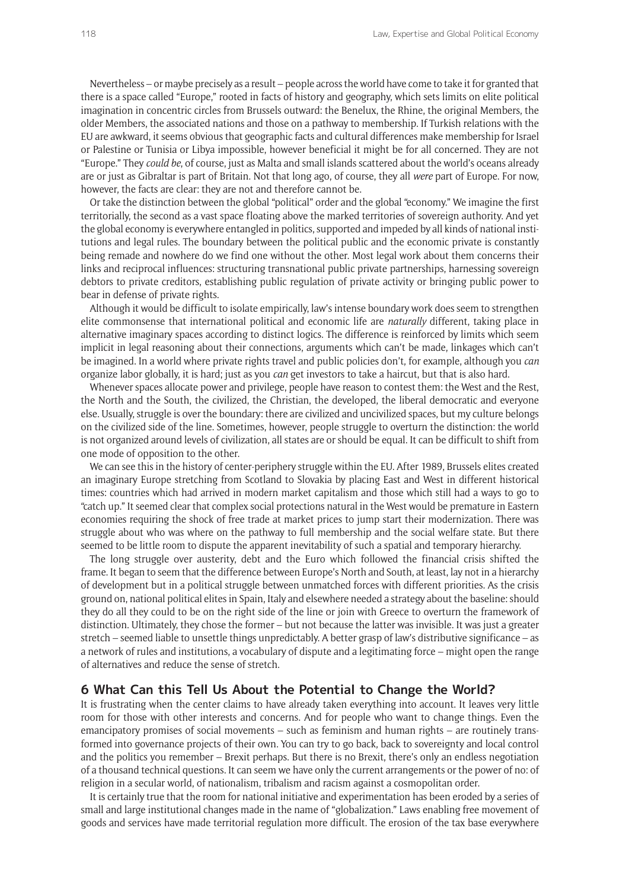Nevertheless – or maybe precisely as a result – people across the world have come to take it for granted that there is a space called "Europe," rooted in facts of history and geography, which sets limits on elite political imagination in concentric circles from Brussels outward: the Benelux, the Rhine, the original Members, the older Members, the associated nations and those on a pathway to membership. If Turkish relations with the EU are awkward, it seems obvious that geographic facts and cultural differences make membership for Israel or Palestine or Tunisia or Libya impossible, however beneficial it might be for all concerned. They are not "Europe." They *could be*, of course, just as Malta and small islands scattered about the world's oceans already are or just as Gibraltar is part of Britain. Not that long ago, of course, they all *were* part of Europe. For now, however, the facts are clear: they are not and therefore cannot be.

Or take the distinction between the global "political" order and the global "economy." We imagine the first territorially, the second as a vast space floating above the marked territories of sovereign authority. And yet the global economy is everywhere entangled in politics, supported and impeded by all kinds of national institutions and legal rules. The boundary between the political public and the economic private is constantly being remade and nowhere do we find one without the other. Most legal work about them concerns their links and reciprocal influences: structuring transnational public private partnerships, harnessing sovereign debtors to private creditors, establishing public regulation of private activity or bringing public power to bear in defense of private rights.

Although it would be difficult to isolate empirically, law's intense boundary work does seem to strengthen elite commonsense that international political and economic life are *naturally* different, taking place in alternative imaginary spaces according to distinct logics. The difference is reinforced by limits which seem implicit in legal reasoning about their connections, arguments which can't be made, linkages which can't be imagined. In a world where private rights travel and public policies don't, for example, although you *can*  organize labor globally, it is hard; just as you *can* get investors to take a haircut, but that is also hard.

Whenever spaces allocate power and privilege, people have reason to contest them: the West and the Rest, the North and the South, the civilized, the Christian, the developed, the liberal democratic and everyone else. Usually, struggle is over the boundary: there are civilized and uncivilized spaces, but my culture belongs on the civilized side of the line. Sometimes, however, people struggle to overturn the distinction: the world is not organized around levels of civilization, all states are or should be equal. It can be difficult to shift from one mode of opposition to the other.

We can see this in the history of center-periphery struggle within the EU. After 1989, Brussels elites created an imaginary Europe stretching from Scotland to Slovakia by placing East and West in different historical times: countries which had arrived in modern market capitalism and those which still had a ways to go to "catch up." It seemed clear that complex social protections natural in the West would be premature in Eastern economies requiring the shock of free trade at market prices to jump start their modernization. There was struggle about who was where on the pathway to full membership and the social welfare state. But there seemed to be little room to dispute the apparent inevitability of such a spatial and temporary hierarchy.

The long struggle over austerity, debt and the Euro which followed the financial crisis shifted the frame. It began to seem that the difference between Europe's North and South, at least, lay not in a hierarchy of development but in a political struggle between unmatched forces with different priorities. As the crisis ground on, national political elites in Spain, Italy and elsewhere needed a strategy about the baseline: should they do all they could to be on the right side of the line or join with Greece to overturn the framework of distinction. Ultimately, they chose the former – but not because the latter was invisible. It was just a greater stretch – seemed liable to unsettle things unpredictably. A better grasp of law's distributive significance – as a network of rules and institutions, a vocabulary of dispute and a legitimating force – might open the range of alternatives and reduce the sense of stretch.

# **6 What Can this Tell Us About the Potential to Change the World?**

It is frustrating when the center claims to have already taken everything into account. It leaves very little room for those with other interests and concerns. And for people who want to change things. Even the emancipatory promises of social movements – such as feminism and human rights – are routinely transformed into governance projects of their own. You can try to go back, back to sovereignty and local control and the politics you remember – Brexit perhaps. But there is no Brexit, there's only an endless negotiation of a thousand technical questions. It can seem we have only the current arrangements or the power of no: of religion in a secular world, of nationalism, tribalism and racism against a cosmopolitan order.

It is certainly true that the room for national initiative and experimentation has been eroded by a series of small and large institutional changes made in the name of "globalization." Laws enabling free movement of goods and services have made territorial regulation more difficult. The erosion of the tax base everywhere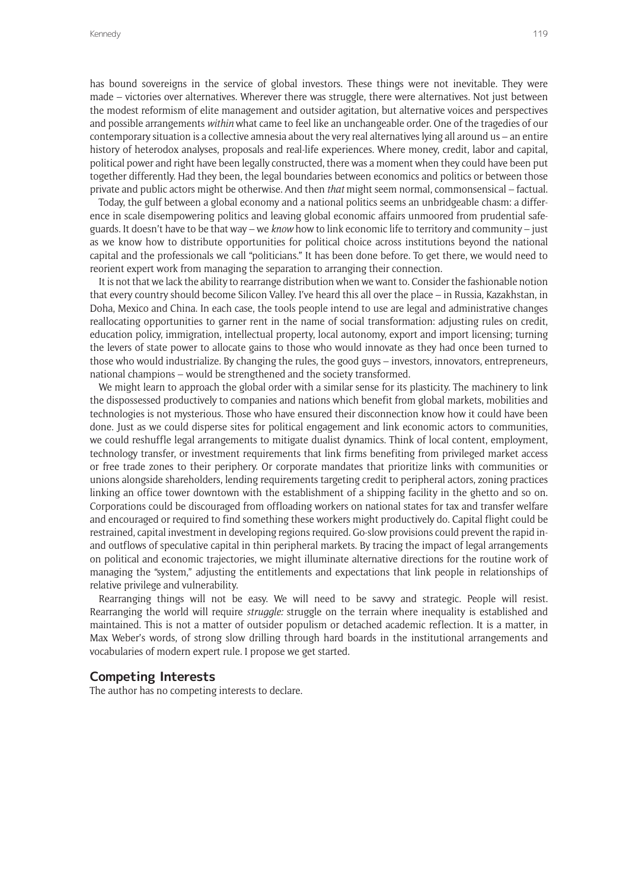has bound sovereigns in the service of global investors. These things were not inevitable. They were made – victories over alternatives. Wherever there was struggle, there were alternatives. Not just between the modest reformism of elite management and outsider agitation, but alternative voices and perspectives and possible arrangements *within* what came to feel like an unchangeable order. One of the tragedies of our contemporary situation is a collective amnesia about the very real alternatives lying all around us – an entire history of heterodox analyses, proposals and real-life experiences. Where money, credit, labor and capital, political power and right have been legally constructed, there was a moment when they could have been put together differently. Had they been, the legal boundaries between economics and politics or between those private and public actors might be otherwise. And then *that* might seem normal, commonsensical – factual.

Today, the gulf between a global economy and a national politics seems an unbridgeable chasm: a difference in scale disempowering politics and leaving global economic affairs unmoored from prudential safeguards. It doesn't have to be that way – we *know* how to link economic life to territory and community – just as we know how to distribute opportunities for political choice across institutions beyond the national capital and the professionals we call "politicians." It has been done before. To get there, we would need to reorient expert work from managing the separation to arranging their connection.

It is not that we lack the ability to rearrange distribution when we want to. Consider the fashionable notion that every country should become Silicon Valley. I've heard this all over the place – in Russia, Kazakhstan, in Doha, Mexico and China. In each case, the tools people intend to use are legal and administrative changes reallocating opportunities to garner rent in the name of social transformation: adjusting rules on credit, education policy, immigration, intellectual property, local autonomy, export and import licensing; turning the levers of state power to allocate gains to those who would innovate as they had once been turned to those who would industrialize. By changing the rules, the good guys – investors, innovators, entrepreneurs, national champions – would be strengthened and the society transformed.

We might learn to approach the global order with a similar sense for its plasticity. The machinery to link the dispossessed productively to companies and nations which benefit from global markets, mobilities and technologies is not mysterious. Those who have ensured their disconnection know how it could have been done. Just as we could disperse sites for political engagement and link economic actors to communities, we could reshuffle legal arrangements to mitigate dualist dynamics. Think of local content, employment, technology transfer, or investment requirements that link firms benefiting from privileged market access or free trade zones to their periphery. Or corporate mandates that prioritize links with communities or unions alongside shareholders, lending requirements targeting credit to peripheral actors, zoning practices linking an office tower downtown with the establishment of a shipping facility in the ghetto and so on. Corporations could be discouraged from offloading workers on national states for tax and transfer welfare and encouraged or required to find something these workers might productively do. Capital flight could be restrained, capital investment in developing regions required. Go-slow provisions could prevent the rapid inand outflows of speculative capital in thin peripheral markets. By tracing the impact of legal arrangements on political and economic trajectories, we might illuminate alternative directions for the routine work of managing the "system," adjusting the entitlements and expectations that link people in relationships of relative privilege and vulnerability.

Rearranging things will not be easy. We will need to be savvy and strategic. People will resist. Rearranging the world will require *struggle:* struggle on the terrain where inequality is established and maintained. This is not a matter of outsider populism or detached academic reflection. It is a matter, in Max Weber's words, of strong slow drilling through hard boards in the institutional arrangements and vocabularies of modern expert rule. I propose we get started.

# **Competing Interests**

The author has no competing interests to declare.